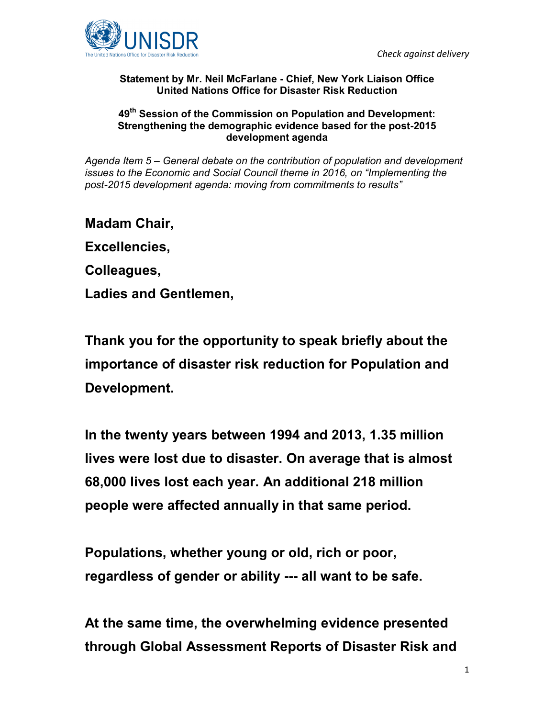

## **Statement by Mr. Neil McFarlane - Chief, New York Liaison Office United Nations Office for Disaster Risk Reduction**

## **49th Session of the Commission on Population and Development: Strengthening the demographic evidence based for the post-2015 development agenda**

*Agenda Item 5 – General debate on the contribution of population and development issues to the Economic and Social Council theme in 2016, on "Implementing the post-2015 development agenda: moving from commitments to results"* 

**Madam Chair, Excellencies, Colleagues,** 

**Ladies and Gentlemen,** 

**Thank you for the opportunity to speak briefly about the importance of disaster risk reduction for Population and Development.** 

**In the twenty years between 1994 and 2013, 1.35 million lives were lost due to disaster. On average that is almost 68,000 lives lost each year. An additional 218 million people were affected annually in that same period.** 

**Populations, whether young or old, rich or poor, regardless of gender or ability --- all want to be safe.** 

**At the same time, the overwhelming evidence presented through Global Assessment Reports of Disaster Risk and**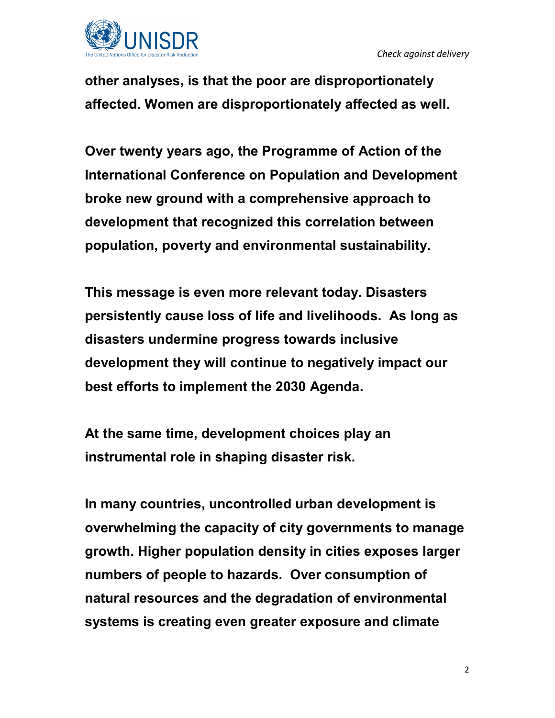

**other analyses, is that the poor are disproportionately affected. Women are disproportionately affected as well.** 

**Over twenty years ago, the Programme of Action of the International Conference on Population and Development broke new ground with a comprehensive approach to development that recognized this correlation between population, poverty and environmental sustainability.** 

**This message is even more relevant today. Disasters persistently cause loss of life and livelihoods. As long as disasters undermine progress towards inclusive development they will continue to negatively impact our best efforts to implement the 2030 Agenda.** 

**At the same time, development choices play an instrumental role in shaping disaster risk.** 

**In many countries, uncontrolled urban development is overwhelming the capacity of city governments to manage growth. Higher population density in cities exposes larger numbers of people to hazards. Over consumption of natural resources and the degradation of environmental systems is creating even greater exposure and climate**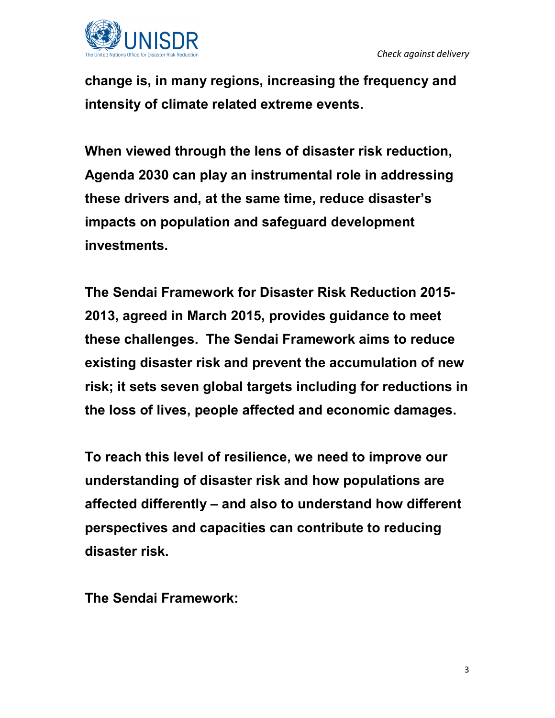

**change is, in many regions, increasing the frequency and intensity of climate related extreme events.** 

**When viewed through the lens of disaster risk reduction, Agenda 2030 can play an instrumental role in addressing these drivers and, at the same time, reduce disaster's impacts on population and safeguard development investments.** 

**The Sendai Framework for Disaster Risk Reduction 2015- 2013, agreed in March 2015, provides guidance to meet these challenges. The Sendai Framework aims to reduce existing disaster risk and prevent the accumulation of new risk; it sets seven global targets including for reductions in the loss of lives, people affected and economic damages.** 

**To reach this level of resilience, we need to improve our understanding of disaster risk and how populations are affected differently – and also to understand how different perspectives and capacities can contribute to reducing disaster risk.** 

**The Sendai Framework:**